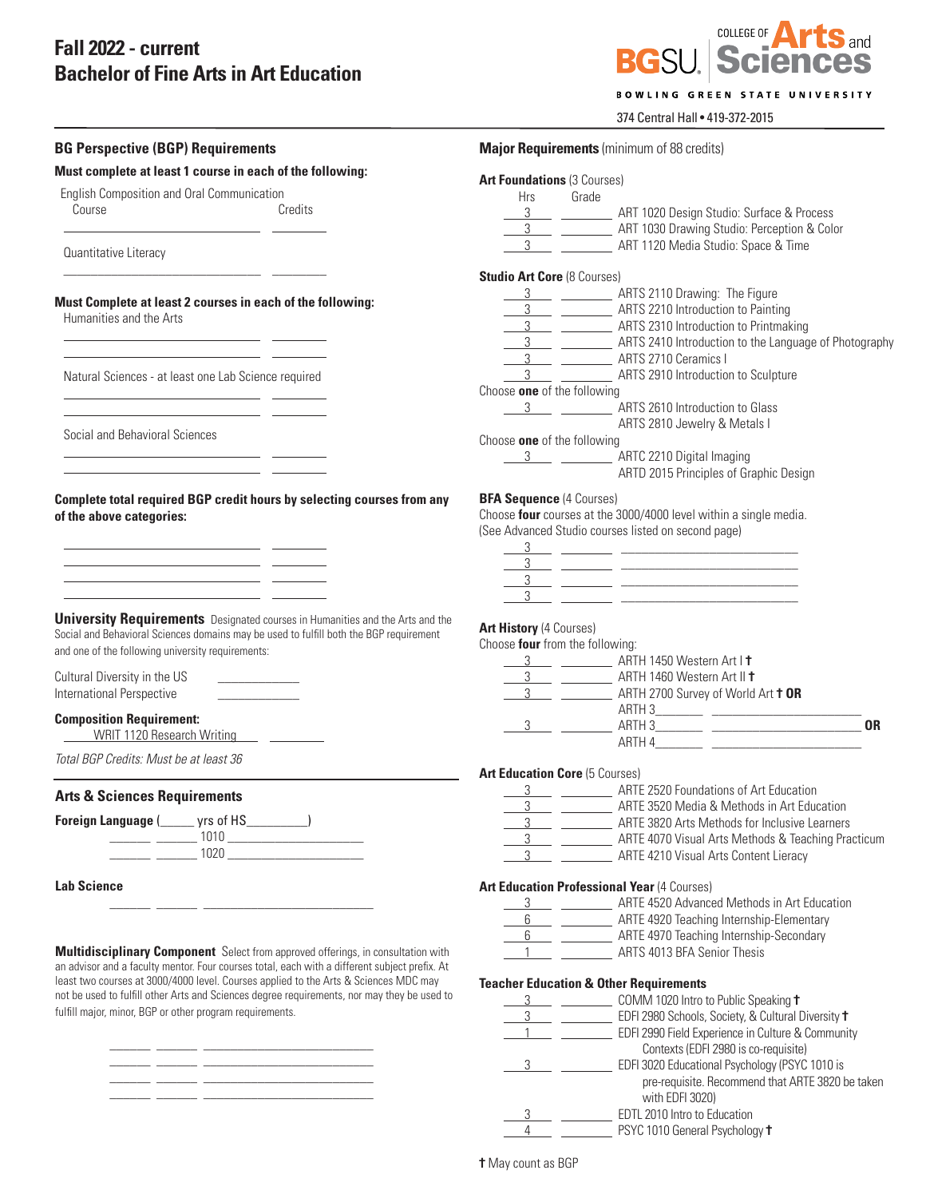# **Fall 2022 - current Bachelor of Fine Arts in Art Education**

not be used to fulfill other Arts and Sciences degree requirements, nor may they be used to

\_\_\_\_\_\_ \_\_\_\_\_\_ \_\_\_\_\_\_\_\_\_\_\_\_\_\_\_\_\_\_\_\_\_\_\_\_\_ \_\_\_\_\_\_ \_\_\_\_\_\_ \_\_\_\_\_\_\_\_\_\_\_\_\_\_\_\_\_\_\_\_\_\_\_\_\_ \_\_\_\_\_\_ \_\_\_\_\_\_ \_\_\_\_\_\_\_\_\_\_\_\_\_\_\_\_\_\_\_\_\_\_\_\_\_ \_\_\_\_\_\_ \_\_\_\_\_\_ \_\_\_\_\_\_\_\_\_\_\_\_\_\_\_\_\_\_\_\_\_\_\_\_\_

fulfill major, minor, BGP or other program requirements.



## BOWLING GREEN STATE UNIVERSITY

## 374 Central Hall • 419-372-2015

| <b>BG Perspective (BGP) Requirements</b>                                                                                                                                                                                                                                                         |  | <b>Major Requirements</b> (minimum of 88 credits)                                                                        |                                                                                                                                                                                                                                                                                                                     |  |  |
|--------------------------------------------------------------------------------------------------------------------------------------------------------------------------------------------------------------------------------------------------------------------------------------------------|--|--------------------------------------------------------------------------------------------------------------------------|---------------------------------------------------------------------------------------------------------------------------------------------------------------------------------------------------------------------------------------------------------------------------------------------------------------------|--|--|
| Must complete at least 1 course in each of the following:                                                                                                                                                                                                                                        |  | <b>Art Foundations (3 Courses)</b>                                                                                       |                                                                                                                                                                                                                                                                                                                     |  |  |
| English Composition and Oral Communication                                                                                                                                                                                                                                                       |  | Grade<br><b>Hrs</b>                                                                                                      |                                                                                                                                                                                                                                                                                                                     |  |  |
| Credits<br>Course                                                                                                                                                                                                                                                                                |  |                                                                                                                          | 3 __ __ ________ ART 1020 Design Studio: Surface & Process                                                                                                                                                                                                                                                          |  |  |
|                                                                                                                                                                                                                                                                                                  |  |                                                                                                                          | 3 ____________________ ART 1030 Drawing Studio: Perception & Color                                                                                                                                                                                                                                                  |  |  |
| Quantitative Literacy                                                                                                                                                                                                                                                                            |  |                                                                                                                          | 3 ___ _________ ART 1120 Media Studio: Space & Time                                                                                                                                                                                                                                                                 |  |  |
|                                                                                                                                                                                                                                                                                                  |  | <b>Studio Art Core (8 Courses)</b>                                                                                       |                                                                                                                                                                                                                                                                                                                     |  |  |
| Must Complete at least 2 courses in each of the following:                                                                                                                                                                                                                                       |  |                                                                                                                          | 3 ______________________ ARTS 2110 Drawing: The Figure                                                                                                                                                                                                                                                              |  |  |
| Humanities and the Arts                                                                                                                                                                                                                                                                          |  |                                                                                                                          | 3 ARTS 2210 Introduction to Painting                                                                                                                                                                                                                                                                                |  |  |
|                                                                                                                                                                                                                                                                                                  |  |                                                                                                                          | 3 ____ _________ ARTS 2310 Introduction to Printmaking                                                                                                                                                                                                                                                              |  |  |
|                                                                                                                                                                                                                                                                                                  |  |                                                                                                                          | 3 ____ __________ ARTS 2410 Introduction to the Language of Photography                                                                                                                                                                                                                                             |  |  |
|                                                                                                                                                                                                                                                                                                  |  |                                                                                                                          | 3 ___ _________ ARTS 2710 Ceramics I                                                                                                                                                                                                                                                                                |  |  |
| Natural Sciences - at least one Lab Science required                                                                                                                                                                                                                                             |  |                                                                                                                          | 3 __________________ ARTS 2910 Introduction to Sculpture                                                                                                                                                                                                                                                            |  |  |
|                                                                                                                                                                                                                                                                                                  |  | Choose one of the following                                                                                              |                                                                                                                                                                                                                                                                                                                     |  |  |
| the control of the control of the control of the control of the control of                                                                                                                                                                                                                       |  |                                                                                                                          | 3 ____ ___________ ARTS 2610 Introduction to Glass                                                                                                                                                                                                                                                                  |  |  |
|                                                                                                                                                                                                                                                                                                  |  |                                                                                                                          | ARTS 2810 Jewelry & Metals I                                                                                                                                                                                                                                                                                        |  |  |
| Social and Behavioral Sciences                                                                                                                                                                                                                                                                   |  | Choose one of the following                                                                                              |                                                                                                                                                                                                                                                                                                                     |  |  |
| <u> 1989 - Johann Barn, fransk politik (d. 1989)</u>                                                                                                                                                                                                                                             |  |                                                                                                                          | 3 ____________________ ARTC 2210 Digital Imaging                                                                                                                                                                                                                                                                    |  |  |
|                                                                                                                                                                                                                                                                                                  |  |                                                                                                                          | ARTD 2015 Principles of Graphic Design                                                                                                                                                                                                                                                                              |  |  |
| Complete total required BGP credit hours by selecting courses from any                                                                                                                                                                                                                           |  | <b>BFA Sequence (4 Courses)</b>                                                                                          |                                                                                                                                                                                                                                                                                                                     |  |  |
| of the above categories:                                                                                                                                                                                                                                                                         |  | Choose four courses at the 3000/4000 level within a single media.<br>(See Advanced Studio courses listed on second page) |                                                                                                                                                                                                                                                                                                                     |  |  |
|                                                                                                                                                                                                                                                                                                  |  |                                                                                                                          |                                                                                                                                                                                                                                                                                                                     |  |  |
| <u> 1989 - Johann Barn, fransk politik (d. 1989)</u>                                                                                                                                                                                                                                             |  |                                                                                                                          | $\frac{3}{2}$ $\frac{3}{2}$ $\frac{3}{2}$ $\frac{3}{2}$ $\frac{3}{2}$ $\frac{3}{2}$ $\frac{3}{2}$ $\frac{3}{2}$ $\frac{3}{2}$ $\frac{3}{2}$ $\frac{3}{2}$ $\frac{3}{2}$ $\frac{3}{2}$ $\frac{3}{2}$ $\frac{3}{2}$ $\frac{3}{2}$ $\frac{3}{2}$ $\frac{3}{2}$ $\frac{3}{2}$ $\frac{3}{2}$ $\frac{3}{2}$ $\frac{3}{2}$ |  |  |
| <u> 1989 - Johann Barn, mars ann an t-Amhainn an t-Amhainn an t-Amhainn an t-Amhainn an t-Amhainn an t-Amhainn an</u>                                                                                                                                                                            |  |                                                                                                                          | $\frac{3}{2}$ $\frac{3}{2}$ $\frac{3}{2}$ $\frac{3}{2}$ $\frac{3}{2}$ $\frac{3}{2}$ $\frac{3}{2}$ $\frac{3}{2}$ $\frac{3}{2}$ $\frac{3}{2}$ $\frac{3}{2}$ $\frac{3}{2}$ $\frac{3}{2}$ $\frac{3}{2}$ $\frac{3}{2}$ $\frac{3}{2}$ $\frac{3}{2}$ $\frac{3}{2}$ $\frac{3}{2}$ $\frac{3}{2}$ $\frac{3}{2}$ $\frac{3}{2}$ |  |  |
| <u> 1989 - Johann Harry Harry Harry Harry Harry Harry Harry Harry Harry Harry Harry Harry Harry Harry Harry Harry</u>                                                                                                                                                                            |  |                                                                                                                          |                                                                                                                                                                                                                                                                                                                     |  |  |
| <u> 1989 - John Harry Harry Harry Harry Harry Harry Harry Harry Harry Harry Harry Harry Harry Harry Harry Harry H</u>                                                                                                                                                                            |  |                                                                                                                          |                                                                                                                                                                                                                                                                                                                     |  |  |
|                                                                                                                                                                                                                                                                                                  |  |                                                                                                                          |                                                                                                                                                                                                                                                                                                                     |  |  |
| <b>University Requirements</b> Designated courses in Humanities and the Arts and the<br>Social and Behavioral Sciences domains may be used to fulfill both the BGP requirement                                                                                                                   |  | <b>Art History (4 Courses)</b>                                                                                           |                                                                                                                                                                                                                                                                                                                     |  |  |
|                                                                                                                                                                                                                                                                                                  |  | Choose four from the following:                                                                                          |                                                                                                                                                                                                                                                                                                                     |  |  |
| and one of the following university requirements:                                                                                                                                                                                                                                                |  |                                                                                                                          | 3 ___ _________ ARTH 1450 Western Art I +                                                                                                                                                                                                                                                                           |  |  |
| Cultural Diversity in the US<br>the control of the control of                                                                                                                                                                                                                                    |  |                                                                                                                          | 3 ___ _________ ARTH 1460 Western Art II +                                                                                                                                                                                                                                                                          |  |  |
| International Perspective                                                                                                                                                                                                                                                                        |  |                                                                                                                          | 3 __ _ _ _ _ _ _ _ ARTH 2700 Survey of World Art t OR                                                                                                                                                                                                                                                               |  |  |
|                                                                                                                                                                                                                                                                                                  |  |                                                                                                                          |                                                                                                                                                                                                                                                                                                                     |  |  |
| <b>Composition Requirement:</b>                                                                                                                                                                                                                                                                  |  |                                                                                                                          |                                                                                                                                                                                                                                                                                                                     |  |  |
|                                                                                                                                                                                                                                                                                                  |  |                                                                                                                          |                                                                                                                                                                                                                                                                                                                     |  |  |
| Total BGP Credits: Must be at least 36                                                                                                                                                                                                                                                           |  |                                                                                                                          |                                                                                                                                                                                                                                                                                                                     |  |  |
|                                                                                                                                                                                                                                                                                                  |  | <b>Art Education Core (5 Courses)</b>                                                                                    |                                                                                                                                                                                                                                                                                                                     |  |  |
| <b>Arts &amp; Sciences Requirements</b>                                                                                                                                                                                                                                                          |  |                                                                                                                          | _ ______________ ARTE 2520 Foundations of Art Education                                                                                                                                                                                                                                                             |  |  |
|                                                                                                                                                                                                                                                                                                  |  | 3                                                                                                                        | ARTE 3520 Media & Methods in Art Education                                                                                                                                                                                                                                                                          |  |  |
| Foreign Language ( <i>with yrs</i> of HS_                                                                                                                                                                                                                                                        |  |                                                                                                                          | ARTE 3820 Arts Methods for Inclusive Learners                                                                                                                                                                                                                                                                       |  |  |
| $\begin{tabular}{c} \multicolumn{2}{c} {\textbf{1010}} \end{tabular} \begin{tabular}{c} \multicolumn{2}{c} {\textbf{1010}} \end{tabular}$                                                                                                                                                        |  |                                                                                                                          | ARTE 4070 Visual Arts Methods & Teaching Practicum                                                                                                                                                                                                                                                                  |  |  |
| $\frac{1020}{2}$ $\frac{1020}{2}$ $\frac{1020}{2}$ $\frac{1020}{2}$ $\frac{1020}{2}$ $\frac{1020}{2}$ $\frac{1020}{2}$ $\frac{1020}{2}$ $\frac{1020}{2}$ $\frac{1020}{2}$ $\frac{1020}{2}$ $\frac{1020}{2}$ $\frac{1020}{2}$ $\frac{1020}{2}$ $\frac{1020}{2}$ $\frac{1020}{2}$ $\frac{1020}{2}$ |  | $3 \qquad \qquad$                                                                                                        | ARTE 4210 Visual Arts Content Lieracy                                                                                                                                                                                                                                                                               |  |  |
| <b>Lab Science</b>                                                                                                                                                                                                                                                                               |  |                                                                                                                          | <b>Art Education Professional Year (4 Courses)</b>                                                                                                                                                                                                                                                                  |  |  |
|                                                                                                                                                                                                                                                                                                  |  |                                                                                                                          | ARTE 4520 Advanced Methods in Art Education                                                                                                                                                                                                                                                                         |  |  |
|                                                                                                                                                                                                                                                                                                  |  |                                                                                                                          | ARTE 4920 Teaching Internship-Elementary                                                                                                                                                                                                                                                                            |  |  |
|                                                                                                                                                                                                                                                                                                  |  |                                                                                                                          | 6 ___ __________ ARTE 4970 Teaching Internship-Secondary                                                                                                                                                                                                                                                            |  |  |
| Multidisciplinary Component Select from approved offerings, in consultation with                                                                                                                                                                                                                 |  | $1 \thicksim$                                                                                                            | ARTS 4013 BFA Senior Thesis                                                                                                                                                                                                                                                                                         |  |  |
|                                                                                                                                                                                                                                                                                                  |  |                                                                                                                          |                                                                                                                                                                                                                                                                                                                     |  |  |

1 1 ARTS 4013 BFA Senior Thesis an advisor and a faculty mentor. Four courses total, each with a different subject prefix. At least two courses at 3000/4000 level. Courses applied to the Arts & Sciences MDC may

## **Teacher Education & Other Requirements**

|  | COMM 1020 Intro to Public Speaking t               |
|--|----------------------------------------------------|
|  | EDFI 2980 Schools, Society, & Cultural Diversity + |
|  | EDFI 2990 Field Experience in Culture & Community  |
|  | Contexts (EDFI 2980 is co-requisite)               |
|  | EDFI 3020 Educational Psychology (PSYC 1010 is     |
|  | pre-requisite. Recommend that ARTE 3820 be taken   |
|  | with EDFI 3020)                                    |
|  | EDTL 2010 Intro to Education                       |
|  | PSYC 1010 General Psychology t                     |

**†** May count as BGP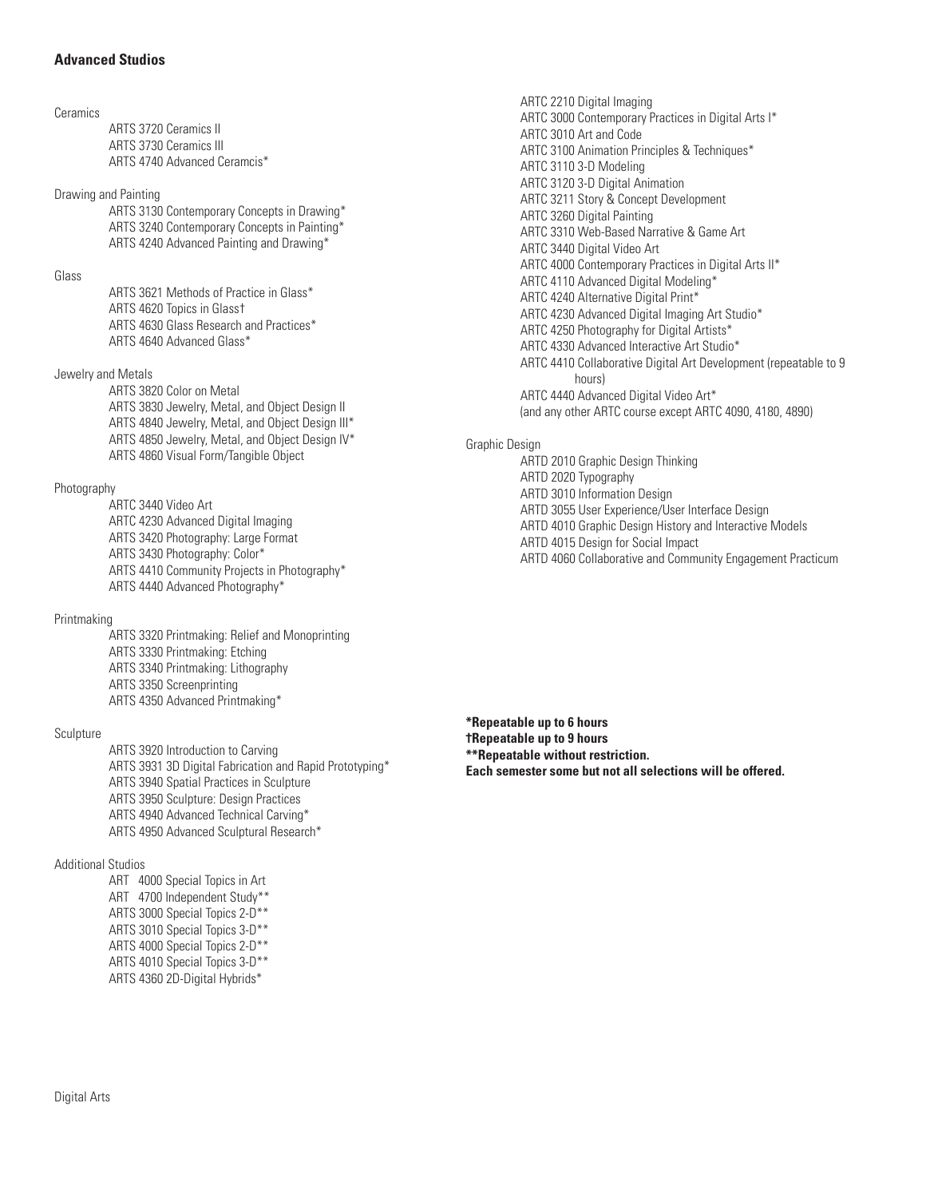## **Advanced Studios**

#### Ceramics

ARTS 3720 Ceramics II ARTS 3730 Ceramics III ARTS 4740 Advanced Ceramcis\*

Drawing and Painting

ARTS 3130 Contemporary Concepts in Drawing\* ARTS 3240 Contemporary Concepts in Painting\* ARTS 4240 Advanced Painting and Drawing\*

Glass

ARTS 3621 Methods of Practice in Glass\* ARTS 4620 Topics in Glass† ARTS 4630 Glass Research and Practices\* ARTS 4640 Advanced Glass\*

Jewelry and Metals

ARTS 3820 Color on Metal ARTS 3830 Jewelry, Metal, and Object Design II ARTS 4840 Jewelry, Metal, and Object Design III\* ARTS 4850 Jewelry, Metal, and Object Design IV\* ARTS 4860 Visual Form/Tangible Object

Photography

ARTC 3440 Video Art ARTC 4230 Advanced Digital Imaging ARTS 3420 Photography: Large Format ARTS 3430 Photography: Color\* ARTS 4410 Community Projects in Photography\* ARTS 4440 Advanced Photography\*

## Printmaking

ARTS 3320 Printmaking: Relief and Monoprinting ARTS 3330 Printmaking: Etching ARTS 3340 Printmaking: Lithography ARTS 3350 Screenprinting ARTS 4350 Advanced Printmaking\*

Sculpture

ARTS 3920 Introduction to Carving ARTS 3931 3D Digital Fabrication and Rapid Prototyping\* ARTS 3940 Spatial Practices in Sculpture ARTS 3950 Sculpture: Design Practices ARTS 4940 Advanced Technical Carving\* ARTS 4950 Advanced Sculptural Research\*

Additional Studios

ART 4000 Special Topics in Art ART 4700 Independent Study\*\* ARTS 3000 Special Topics 2-D\*\* ARTS 3010 Special Topics 3-D\*\* ARTS 4000 Special Topics 2-D\*\* ARTS 4010 Special Topics 3-D\*\* ARTS 4360 2D-Digital Hybrids\*

ARTC 2210 Digital Imaging ARTC 3000 Contemporary Practices in Digital Arts I\* ARTC 3010 Art and Code ARTC 3100 Animation Principles & Techniques\* ARTC 3110 3-D Modeling ARTC 3120 3-D Digital Animation ARTC 3211 Story & Concept Development ARTC 3260 Digital Painting ARTC 3310 Web-Based Narrative & Game Art ARTC 3440 Digital Video Art ARTC 4000 Contemporary Practices in Digital Arts II\* ARTC 4110 Advanced Digital Modeling\* ARTC 4240 Alternative Digital Print\* ARTC 4230 Advanced Digital Imaging Art Studio\* ARTC 4250 Photography for Digital Artists\* ARTC 4330 Advanced Interactive Art Studio\* ARTC 4410 Collaborative Digital Art Development (repeatable to 9 hours) ARTC 4440 Advanced Digital Video Art\* (and any other ARTC course except ARTC 4090, 4180, 4890)

Graphic Design

ARTD 2010 Graphic Design Thinking ARTD 2020 Typography ARTD 3010 Information Design ARTD 3055 User Experience/User Interface Design ARTD 4010 Graphic Design History and Interactive Models ARTD 4015 Design for Social Impact ARTD 4060 Collaborative and Community Engagement Practicum

**\*Repeatable up to 6 hours †Repeatable up to 9 hours \*\*Repeatable without restriction. Each semester some but not all selections will be offered.**